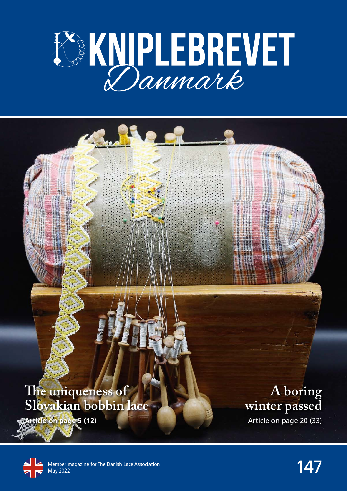

#### **The uniqueness of Slovakian bobbin lace**

**Article on page 5 (12)**

**A boring winter passed**

Article on page 20 (33)

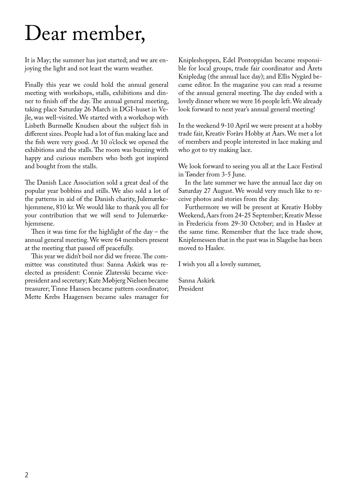## Dear member,

It is May; the summer has just started; and we are enjoying the light and not least the warm weather.

Finally this year we could hold the annual general meeting with workshops, stalls, exhibitions and dinner to finish off the day. The annual general meeting, taking place Saturday 26 March in DGI-huset in Vejle, was well-visited. We started with a workshop with Lisbeth Burmølle Knudsen about the subject fish in different sizes. People had a lot of fun making lace and the fish were very good. At 10 o'clock we opened the exhibitions and the stalls. The room was buzzing with happy and curious members who both got inspired and bought from the stalls.

The Danish Lace Association sold a great deal of the popular year bobbins and stills. We also sold a lot of the patterns in aid of the Danish charity, Julemærkehjemmene, 810 kr. We would like to thank you all for your contribution that we will send to Julemærkehjemmene.

Then it was time for the highlight of the day – the annual general meeting. We were 64 members present at the meeting that passed off peacefully.

This year we didn't boil nor did we freeze. The committee was constituted thus: Sanna Askirk was reelected as president: Connie Zlatevski became vicepresident and secretary; Kate Møbjerg Nielsen became treasurer; Tinne Hansen became pattern coordinator; Mette Krebs Haagensen became sales manager for

Knipleshoppen, Edel Pontoppidan became responsible for local groups, trade fair coordinator and Årets Knipledag (the annual lace day); and Ellis Nygård became editor. In the magazine you can read a resume of the annual general meeting. The day ended with a lovely dinner where we were 16 people left. We already look forward to next year's annual general meeting!

In the weekend 9-10 April we were present at a hobby trade fair, Kreativ Forårs Hobby at Aars. We met a lot of members and people interested in lace making and who got to try making lace.

We look forward to seeing you all at the Lace Festival in Tønder from 3-5 June.

In the late summer we have the annual lace day on Saturday 27 August. We would very much like to receive photos and stories from the day.

Furthermore we will be present at Kreativ Hobby Weekend, Aars from 24-25 September; Kreativ Messe in Fredericia from 29-30 October; and in Haslev at the same time. Remember that the lace trade show, Kniplemessen that in the past was in Slagelse has been moved to Haslev.

I wish you all a lovely summer,

Sanna Askirk President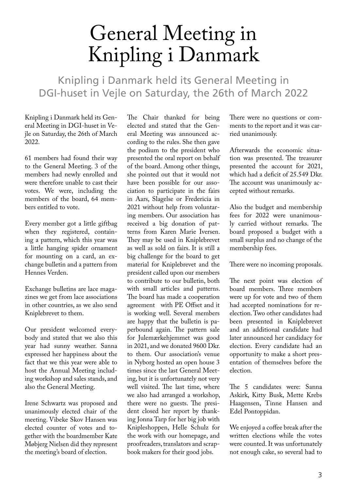## General Meeting in Knipling i Danmark

Knipling i Danmark held its General Meeting in DGI-huset in Vejle on Saturday, the 26th of March 2022

Knipling i Danmark held its General Meeting in DGI-huset in Vejle on Saturday, the 26th of March 2022.

61 members had found their way to the General Meeting. 3 of the members had newly enrolled and were therefore unable to cast their votes. We were, including the members of the board, 64 members entitled to vote.

Every member got a little giftbag when they registered, containing a pattern, which this year was a little hanging spider ornament for mounting on a card, an exchange bulletin and a pattern from Hennes Verden.

Exchange bulletins are lace magazines we get from lace associations in other countries, as we also send Kniplebrevet to them.

Our president welcomed everybody and stated that we also this year had sunny weather. Sanna expressed her happiness about the fact that we this year were able to host the Annual Meeting including workshop and sales stands, and also the General Meeting.

Irene Schwartz was proposed and unanimously elected chair of the meeting. Vibeke Skov Hansen was elected counter of votes and together with the boardmember Kate Møbjerg Nielsen did they represent the meeting's board of election.

The Chair thanked for being elected and stated that the General Meeting was announced according to the rules. She then gave the podium to the president who presented the oral report on behalf of the board. Among other things, she pointed out that it would not have been possible for our association to participate in the fairs in Aars, Slagelse or Fredericia in 2021 without help from voluntaring members. Our association has received a big donation of patterns from Karen Marie Iversen. They may be used in Kniplebrevet as well as sold on fairs. It is still a big challenge for the board to get material for Kniplebrevet and the president called upon our members to contribute to our bulletin, both with small articles and patterns. The board has made a cooperation agreement with PE Offset and it is working well. Several members are happy that the bulletin is paperbound again. The pattern sale for Julemærkehjemmet was good in 2021, and we donated 9600 Dkr. to them. Our association's venue in Nyborg hosted an open house 3 times since the last General Meeting, but it is unfortunately not very well visited. The last time, where we also had arranged a workshop, there were no guests. The president closed her report by thanking Jonna Tarp for her big job with Knipleshoppen, Helle Schulz for the work with our homepage, and proofreaders, translators and scrapbook makers for their good jobs.

There were no questions or comments to the report and it was carried unanimously.

Afterwards the economic situation was presented. The treasurer presented the account for 2021, which had a deficit of 25.549 Dkr. The account was unanimously accepted without remarks.

Also the budget and membership fees for 2022 were unanimously carried without remarks. The board proposed a budget with a small surplus and no change of the membership fees.

There were no incoming proposals.

The next point was election of board members. Three members were up for vote and two of them had accepted nominations for reelection. Two other candidates had been presented in Kniplebrevet and an additional candidate had later announced her candidacy for election. Every candidate had an opportunity to make a short presentation of themselves before the election.

The 5 candidates were: Sanna Askirk, Kitty Busk, Mette Krebs Haagensen, Tinne Hansen and Edel Pontoppidan.

We enjoyed a coffee break after the written elections while the votes were counted. It was unfortunately not enough cake, so several had to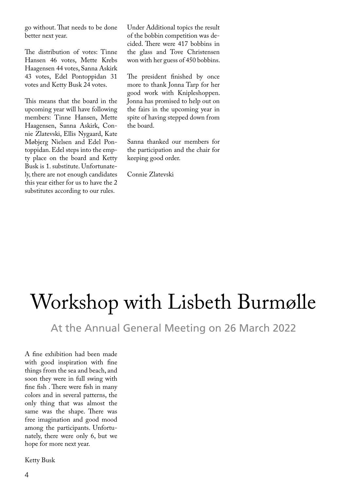go without. That needs to be done better next year.

The distribution of votes: Tinne Hansen 46 votes, Mette Krebs Haagensen 44 votes, Sanna Askirk 43 votes, Edel Pontoppidan 31 votes and Ketty Busk 24 votes.

This means that the board in the upcoming year will have following members: Tinne Hansen, Mette Haagensen, Sanna Askirk, Connie Zlatevski, Ellis Nygaard, Kate Møbjerg Nielsen and Edel Pontoppidan. Edel steps into the empty place on the board and Ketty Busk is 1. substitute. Unfortunately, there are not enough candidates this year either for us to have the 2 substitutes according to our rules.

Under Additional topics the result of the bobbin competition was decided. There were 417 bobbins in the glass and Tove Christensen won with her guess of 450 bobbins.

The president finished by once more to thank Jonna Tarp for her good work with Knipleshoppen. Jonna has promised to help out on the fairs in the upcoming year in spite of having stepped down from the board.

Sanna thanked our members for the participation and the chair for keeping good order.

Connie Zlatevski

## Workshop with Lisbeth Burmølle

At the Annual General Meeting on 26 March 2022

A fine exhibition had been made with good inspiration with fine things from the sea and beach, and soon they were in full swing with fine fish . There were fish in many colors and in several patterns, the only thing that was almost the same was the shape. There was free imagination and good mood among the participants. Unfortunately, there were only 6, but we hope for more next year.

Ketty Busk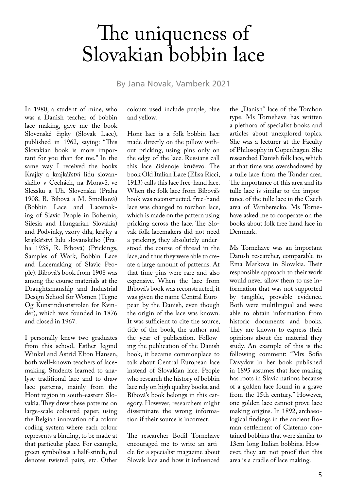### The uniqueness of Slovakian bobbin lace

By Jana Novak, Vamberk 2021

In 1980, a student of mine, who was a Danish teacher of bobbin lace making, gave me the book Slovenské čipky (Slovak Lace), published in 1962, saying: "This Slovakian book is more important for you than for me." In the same way I received the books Krajky a krajkářství lidu slovanského v Čechách, na Moravě, ve Slezsku a Uh. Slovensku (Praha 1908, R. Bíbová a M. Smolková) (Bobbin Lace and Lacemaking of Slavic People in Bohemia, Silesia and Hungarian Slovakia) and Podvinky, vzory díla, krajky a krajkářství lidu slovanského (Praha 1938, R. Bíbová) (Prickings, Samples of Work, Bobbin Lace and Lacemaking of Slavic People). Bíbová's book from 1908 was among the course materials at the Draughtsmanship and Industrial Design School for Women (Tegne Og Kunstindustistrolen for Kvinder), which was founded in 1876 and closed in 1967.

I personally knew two graduates from this school, Esther Jegind Winkel and Astrid Elton Hansen, both well-known teachers of lacemaking. Students learned to analyse traditional lace and to draw lace patterns, mainly from the Hont region in south-eastern Slovakia. They drew these patterns on large-scale coloured paper, using the Belgian innovation of a colour coding system where each colour represents a binding, to be made at that particular place. For example, green symbolises a half-stitch, red denotes twisted pairs, etc. Other

colours used include purple, blue and yellow.

Hont lace is a folk bobbin lace made directly on the pillow without pricking, using pins only on the edge of the lace. Russians call this lace čislenoje kruževo. The book Old Italian Lace (Elisa Ricci, 1913) calls this lace free-hand lace. When the folk lace from Bíbová's book was reconstructed, free-hand lace was changed to torchon lace, which is made on the pattern using pricking across the lace. The Slovak folk lacemakers did not need a pricking, they absolutely understood the course of thread in the lace, and thus they were able to create a large amount of patterns. At that time pins were rare and also expensive. When the lace from Bíbová's book was reconstructed, it was given the name Central European by the Danish, even though the origin of the lace was known. It was sufficient to cite the source, title of the book, the author and the year of publication. Following the publication of the Danish book, it became commonplace to talk about Central European lace instead of Slovakian lace. People who research the history of bobbin lace rely on high quality books, and Bíbová's book belongs in this category. However, researchers might disseminate the wrong information if their source is incorrect.

The researcher Bodil Tornehave encouraged me to write an article for a specialist magazine about Slovak lace and how it influenced

the "Danish" lace of the Torchon type. Ms Tornehave has written a plethora of specialist books and articles about unexplored topics. She was a lecturer at the Faculty of Philosophy in Copenhagen. She researched Danish folk lace, which at that time was overshadowed by a tulle lace from the Tonder area. The importance of this area and its tulle lace is similar to the importance of the tulle lace in the Czech area of Vamberecko. Ms Tornehave asked me to cooperate on the books about folk free hand lace in Denmark.

Ms Tornehave was an important Danish researcher, comparable to Ema Markova in Slovakia. Their responsible approach to their work would never allow them to use information that was not supported by tangible, provable evidence. Both were multilingual and were able to obtain information from historic documents and books. They are known to express their opinions about the material they study. An example of this is the following comment: "Mrs Sofia Davydov in her book published in 1895 assumes that lace making has roots in Slavic nations because of a golden lace found in a grave from the 15th century." However, one golden lace cannot prove lace making origins. In 1892, archaeological findings in the ancient Roman settlement of Claterno contained bobbins that were similar to 13cm-long Italian bobbins. However, they are not proof that this area is a cradle of lace making.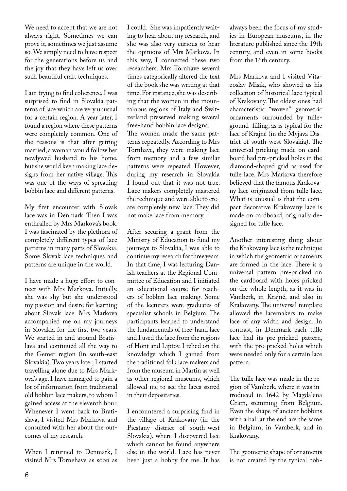We need to accept that we are not always right. Sometimes we can prove it, sometimes we just assume so. We simply need to have respect for the generations before us and the joy that they have left us over such beautiful craft techniques.

I am trying to find coherence. I was surprised to find in Slovakia patterns of lace which are very unusual for a certain region. A year later, I found a region where these patterns were completely common. One of the reasons is that after getting married, a woman would follow her newlywed husband to his home, but she would keep making lace designs from her native village. This was one of the ways of spreading bobbin lace and different patterns.

My first encounter with Slovak lace was in Denmark. Then I was enthralled by Mrs Markova's book. I was fascinated by the plethora of completely different types of lace patterns in many parts of Slovakia. Some Slovak lace techniques and patterns are unique in the world.

I have made a huge effort to connect with Mrs Markova. Initially, she was shy but she understood my passion and desire for learning about Slovak lace. Mrs Markova accompanied me on my journeys in Slovakia for the first two years. We started in and around Bratislava and continued all the way to the Gemer region (in south-east Slovakia). Two years later, I started travelling alone due to Mrs Markova's age. I have managed to gain a lot of information from traditional old bobbin lace makers, to whom I gained access at the eleventh hour. Whenever I went back to Bratislava, I visited Mrs Markova and consulted with her about the outcomes of my research.

When I returned to Denmark, I visited Mrs Tornehave as soon as I could. She was impatiently waiting to hear about my research, and she was also very curious to hear the opinions of Mrs Markova. In this way, I connected these two researchers. Mrs Tornhave several times categorically altered the text of the book she was writing at that time. For instance, she was describing that the women in the mountainous regions of Italy and Switzerland preserved making several free-hand bobbin lace designs. The women made the same patterns repeatedly. According to Mrs Tornhave, they were making lace from memory and a few similar patterns were repeated. However, during my research in Slovakia I found out that it was not true. Lace makers completely mastered the technique and were able to create completely new lace. They did not make lace from memory.

After securing a grant from the Ministry of Education to fund my journeys to Slovakia, I was able to continue my research for three years. In that time, I was lecturing Danish teachers at the Regional Committee of Education and I initiated an educational course for teachers of bobbin lace making. Some of the lecturers were graduates of specialist schools in Belgium. The participants learned to understand the fundamentals of free-hand lace and I used the lace from the regions of Hont and Liptov. I relied on the knowledge which I gained from the traditional folk lace makers and from the museum in Martin as well as other regional museums, which allowed me to see the laces stored in their depositaries.

I encountered a surprising find in the village of Krakovany (in the Piestany district of south-west Slovakia), where I discovered lace which cannot be found anywhere else in the world. Lace has never been just a hobby for me. It has always been the focus of my studies in European museums, in the literature published since the 19th century, and even in some books from the 16th century.

Mrs Markova and I visited Vitazoslav Misik, who showed us his collection of historical lace typical of Krakovany. The oldest ones had characteristic "woven" geometric ornaments surrounded by tulleground filling, as is typical for the lace of Krajné (in the Myjava District of south-west Slovakia). The universal pricking made on cardboard had pre-pricked holes in the diamond-shaped grid as used for tulle lace. Mrs Markova therefore believed that the famous Krakovany lace originated from tulle lace. What is unusual is that the compact decorative Krakovany lace is made on cardboard, originally designed for tulle lace.

Another interesting thing about the Krakovany lace is the technique in which the geometric ornaments are formed in the lace. There is a universal pattern pre-pricked on the cardboard with holes pricked on the whole length, as it was in Vamberk, in Krajné, and also in Krakovany. The universal template allowed the lacemakers to make lace of any width and design. In contrast, in Denmark each tulle lace had its pre-pricked pattern, with the pre-pricked holes which were needed only for a certain lace pattern.

The tulle lace was made in the region of Vamberk, where it was introduced in 1642 by Magdalena Gram, stemming from Belgium. Even the shape of ancient bobbins with a ball at the end are the same in Belgium, in Vamberk, and in Krakovany.

The geometric shape of ornaments is not created by the typical bob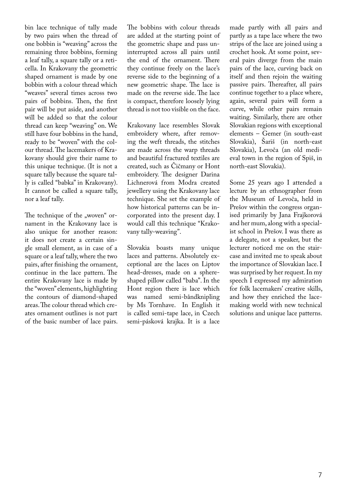bin lace technique of tally made by two pairs when the thread of one bobbin is "weaving" across the remaining three bobbins, forming a leaf tally, a square tally or a reticella. In Krakovany the geometric shaped ornament is made by one bobbin with a colour thread which "weaves" several times across two pairs of bobbins. Then, the first pair will be put aside, and another will be added so that the colour thread can keep "weaving" on. We still have four bobbins in the hand, ready to be "woven" with the colour thread. The lacemakers of Krakovany should give their name to this unique technique. (It is not a square tally because the square tally is called "babka" in Krakovany). It cannot be called a square tally, nor a leaf tally.

The technique of the "woven" ornament in the Krakovany lace is also unique for another reason: it does not create a certain single small element, as in case of a square or a leaf tally, where the two pairs, after finishing the ornament, continue in the lace pattern. The entire Krakovany lace is made by the "woven" elements, highlighting the contours of diamond-shaped areas. The colour thread which creates ornament outlines is not part of the basic number of lace pairs.

The bobbins with colour threads are added at the starting point of the geometric shape and pass uninterrupted across all pairs until the end of the ornament. There they continue freely on the lace's reverse side to the beginning of a new geometric shape. The lace is made on the reverse side. The lace is compact, therefore loosely lying thread is not too visible on the face.

Krakovany lace resembles Slovak embroidery where, after removing the weft threads, the stitches are made across the warp threads and beautiful fractured textiles are created, such as Čičmany or Hont embroidery. The designer Darina Lichnerová from Modra created jewellery using the Krakovany lace technique. She set the example of how historical patterns can be incorporated into the present day. I would call this technique "Krakovany tally-weaving".

Slovakia boasts many unique laces and patterns. Absolutely exceptional are the laces on Liptov head-dresses, made on a sphereshaped pillow called "baba". In the Hont region there is lace which was named semi-båndknipling by Ms Tornhave. In English it is called semi-tape lace, in Czech semi-pásková krajka. It is a lace made partly with all pairs and partly as a tape lace where the two strips of the lace are joined using a crochet hook. At some point, several pairs diverge from the main pairs of the lace, curving back on itself and then rejoin the waiting passive pairs. Thereafter, all pairs continue together to a place where, again, several pairs will form a curve, while other pairs remain waiting. Similarly, there are other Slovakian regions with exceptional elements – Gemer (in south-east Slovakia), Šariš (in north-east Slovakia), Levoča (an old medieval town in the region of Spiš, in north-east Slovakia).

Some 25 years ago I attended a lecture by an ethnographer from the Museum of Levoča, held in Prešov within the congress organised primarily by Jana Frajkorová and her mum, along with a specialist school in Prešov. I was there as a delegate, not a speaker, but the lecturer noticed me on the staircase and invited me to speak about the importance of Slovakian lace. I was surprised by her request. In my speech I expressed my admiration for folk lacemakers' creative skills, and how they enriched the lacemaking world with new technical solutions and unique lace patterns.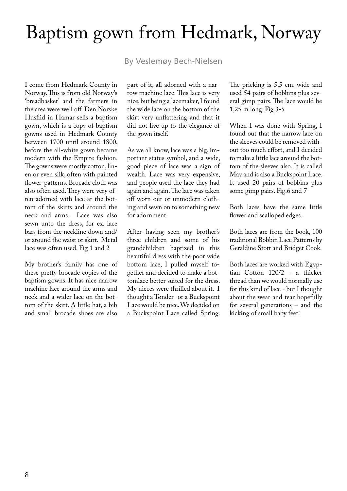### Baptism gown from Hedmark, Norway

By Veslemøy Bech-Nielsen

I come from Hedmark County in Norway. This is from old Norway's 'breadbasket' and the farmers in the area were well off. Den Norske Husflid in Hamar sells a baptism gown, which is a copy of baptism gowns used in Hedmark County between 1700 until around 1800, before the all-white gown became modern with the Empire fashion. The gowns were mostly cotton, linen or even silk, often with painted flower-patterns. Brocade cloth was also often used. They were very often adorned with lace at the bottom of the skirts and around the neck and arms. Lace was also sewn unto the dress, for ex. lace bars from the neckline down and/ or around the waist or skirt. Metal lace was often used. Fig 1 and 2

My brother's family has one of these pretty brocade copies of the baptism gowns. It has nice narrow machine lace around the arms and neck and a wider lace on the bottom of the skirt. A little hat, a bib and small brocade shoes are also

part of it, all adorned with a narrow machine lace. This lace is very nice, but being a lacemaker, I found the wide lace on the bottom of the skirt very unflattering and that it did not live up to the elegance of the gown itself.

As we all know, lace was a big, important status symbol, and a wide, good piece of lace was a sign of wealth. Lace was very expensive, and people used the lace they had again and again. The lace was taken off worn out or unmodern clothing and sewn on to something new for adornment.

After having seen my brother's three children and some of his grandchildren baptized in this beautiful dress with the poor wide bottom lace, I pulled myself together and decided to make a bottomlace better suited for the dress. My nieces were thrilled about it. I thought a Tønder- or a Buckspoint Lace would be nice. We decided on a Buckspoint Lace called Spring. The pricking is 5,5 cm. wide and used 54 pairs of bobbins plus several gimp pairs. The lace would be 1,25 m long. Fig.3-5

When I was done with Spring, I found out that the narrow lace on the sleeves could be removed without too much effort, and I decided to make a little lace around the bottom of the sleeves also. It is called May and is also a Buckspoint Lace. It used 20 pairs of bobbins plus some gimp pairs. Fig.6 and 7

Both laces have the same little flower and scalloped edges.

Both laces are from the book, 100 traditional Bobbin Lace Patterns by Geraldine Stott and Bridget Cook.

Both laces are worked with Egyptian Cotton 120/2 - a thicker thread than we would normally use for this kind of lace - but I thought about the wear and tear hopefully for several generations – and the kicking of small baby feet!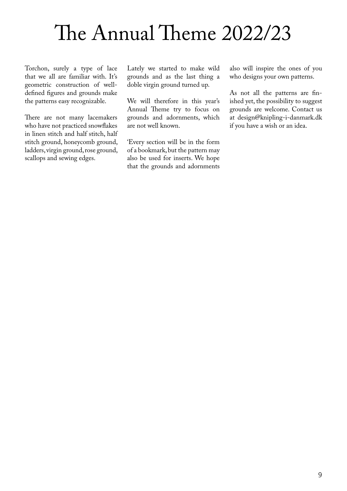## The Annual Theme 2022/23

Torchon, surely a type of lace that we all are familiar with. It's geometric construction of welldefined figures and grounds make the patterns easy recognizable.

There are not many lacemakers who have not practiced snowflakes in linen stitch and half stitch, half stitch ground, honeycomb ground, ladders, virgin ground, rose ground, scallops and sewing edges.

Lately we started to make wild grounds and as the last thing a doble virgin ground turned up.

We will therefore in this year's Annual Theme try to focus on grounds and adornments, which are not well known.

'Every section will be in the form of a bookmark, but the pattern may also be used for inserts. We hope that the grounds and adornments also will inspire the ones of you who designs your own patterns.

As not all the patterns are finished yet, the possibility to suggest grounds are welcome. Contact us at design@knipling-i-danmark.dk if you have a wish or an idea.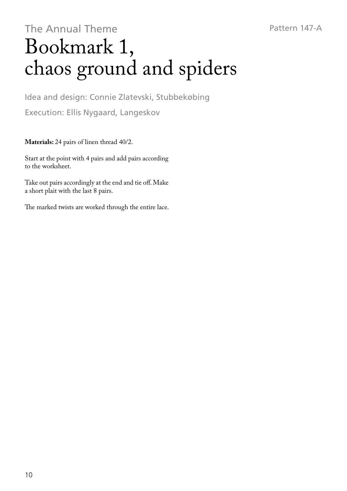### The Annual Theme Bookmark 1, chaos ground and spiders

Idea and design: Connie Zlatevski, Stubbekøbing Execution: Ellis Nygaard, Langeskov

**Materials:** 24 pairs of linen thread 40/2.

Start at the point with 4 pairs and add pairs according to the worksheet.

Take out pairs accordingly at the end and tie off. Make a short plait with the last 8 pairs.

The marked twists are worked through the entire lace.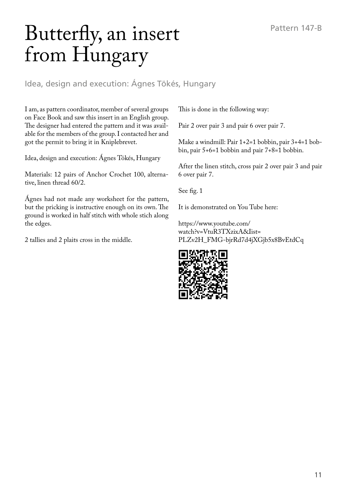## Butterfly, an insert from Hungary

Idea, design and execution: Ágnes Tökés, Hungary

I am, as pattern coordinator, member of several groups on Face Book and saw this insert in an English group. The designer had entered the pattern and it was available for the members of the group. I contacted her and got the permit to bring it in Kniplebrevet.

Idea, design and execution: Ágnes Tökés, Hungary

Materials: 12 pairs of Anchor Crochet 100, alternative, linen thread 60/2.

Agnes had not made any worksheet for the pattern, but the pricking is instructive enough on its own. The ground is worked in half stitch with whole stich along the edges.

2 tallies and 2 plaits cross in the middle.

This is done in the following way:

Pair 2 over pair 3 and pair 6 over pair 7.

Make a windmill: Pair 1+2=1 bobbin, pair 3+4=1 bobbin, pair 5+6=1 bobbin and pair 7+8=1 bobbin.

After the linen stitch, cross pair 2 over pair 3 and pair 6 over pair 7.

See fig. 1

It is demonstrated on You Tube here:

https://www.youtube.com/ watch?v=VtuR3TXzixA&Iist= PLZv2H\_FMG-bjrRd7d4jXGjb5x8BvEtdCq

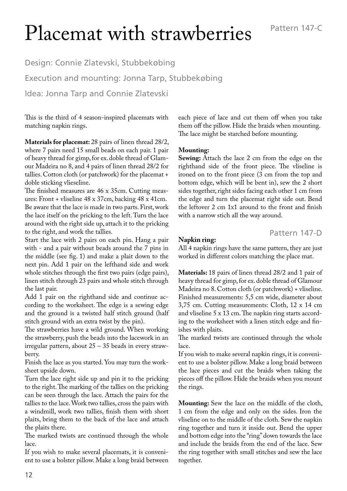# Placemat with strawberries

Design: Connie Zlatevski, Stubbekøbing Execution and mounting: Jonna Tarp, Stubbekøbing Idea: Jonna Tarp and Connie Zlatevski

This is the third of 4 season-inspired placemats with matching napkin rings.

**Materials for placemat:** 28 pairs of linen thread 28/2, where 7 pairs need 15 small beads on each pair. 1 pair of heavy thread for gimp, for ex. doble thread of Glamour Madeira no 8, and 4 pairs of linen thread 28/2 for tallies. Cotton cloth (or patchwork) for the placemat + doble sticking vlieseline.

The finished measures are 46 x 35cm. Cutting measures: Front + vliseline 48 x 37cm, backing 48 x 41cm. Be aware that the lace is made in two parts. First, work the lace itself on the pricking to the left. Turn the lace around with the right side up, attach it to the pricking to the right, and work the tallies.

Start the lace with 2 pairs on each pin. Hang a pair with - and a pair without beads around the 7 pins in the middle (see fig. 1) and make a plait down to the next pin. Add 1 pair on the lefthand side and work whole stitches through the first two pairs (edge pairs), linen stitch through 23 pairs and whole stitch through the last pair.

Add 1 pair on the righthand side and continue according to the worksheet. The edge is a sewing edge and the ground is a twisted half stitch ground (half stitch ground with an extra twist by the pin).

The strawberries have a wild ground. When working the strawberry, push the beads into the lacework in an irregular pattern, about 25 – 35 beads in every strawberry.

Finish the lace as you started. You may turn the worksheet upside down.

Turn the lace right side up and pin it to the pricking to the right. The marking of the tallies on the pricking can be seen through the lace. Attach the pairs for the tallies to the lace. Work two tallies, cross the pairs with a windmill, work two tallies, finish them with short plaits, bring them to the back of the lace and attach the plaits there.

The marked twists are continued through the whole lace.

If you wish to make several placemats, it is convenient to use a bolster pillow. Make a long braid between each piece of lace and cut them off when you take them off the pillow. Hide the braids when mounting. The lace might be starched before mounting.

#### **Mounting:**

**Sewing:** Attach the lace 2 cm from the edge on the righthand side of the front piece. The vliseline is ironed on to the front piece (3 cm from the top and bottom edge, which will be bent in), sew the 2 short sides together, right sides facing each other 1 cm from the edge and turn the placemat right side out. Bend the leftover 2 cm 1x1 around to the front and finish with a narrow stich all the way around.

#### Pattern 147-D

#### **Napkin ring:**

All 4 napkin rings have the same pattern, they are just worked in different colors matching the place mat.

**Materials:** 18 pairs of linen thread 28/2 and 1 pair of heavy thread for gimp, for ex. doble thread of Glamour Madeira no 8. Cotton cloth (or patchwork) + vliseline. Finished measurements: 5,5 cm wide, diameter about 3,75 cm. Cutting measurements: Cloth, 12 x 14 cm and vliseline 5 x 13 cm. The napkin ring starts according to the worksheet with a linen stitch edge and finishes with plaits.

The marked twists are continued through the whole lace.

If you wish to make several napkin rings, it is convenient to use a bolster pillow. Make a long braid between the lace pieces and cut the braids when taking the pieces off the pillow. Hide the braids when you mount the rings.

**Mounting:** Sew the lace on the middle of the cloth, 1 cm from the edge and only on the sides. Iron the vliseline on to the middle of the cloth. Sew the napkin ring together and turn it inside out. Bend the upper and bottom edge into the "ring" down towards the lace and include the braids from the end of the lace. Sew the ring together with small stitches and sew the lace together.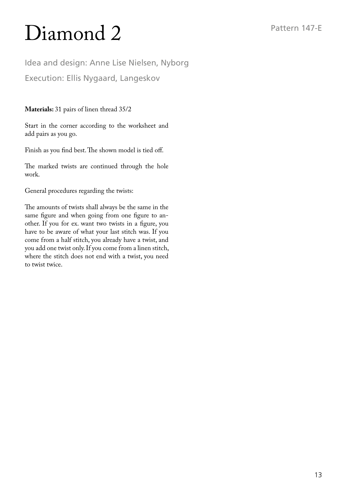# Diamond 2

Idea and design: Anne Lise Nielsen, Nyborg Execution: Ellis Nygaard, Langeskov

**Materials:** 31 pairs of linen thread 35/2

Start in the corner according to the worksheet and add pairs as you go.

Finish as you find best. The shown model is tied off.

The marked twists are continued through the hole work.

General procedures regarding the twists:

The amounts of twists shall always be the same in the same figure and when going from one figure to another. If you for ex. want two twists in a figure, you have to be aware of what your last stitch was. If you come from a half stitch, you already have a twist, and you add one twist only. If you come from a linen stitch, where the stitch does not end with a twist, you need to twist twice.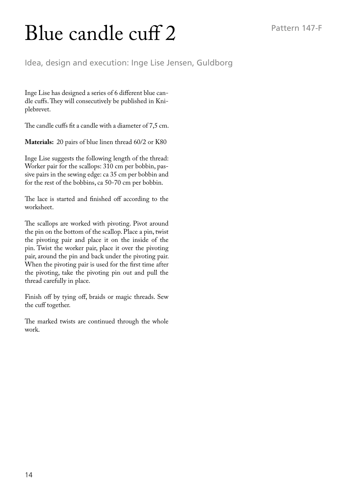# Blue candle cuff 2

Idea, design and execution: Inge Lise Jensen, Guldborg

Inge Lise has designed a series of 6 different blue candle cuffs. They will consecutively be published in Kniplebrevet.

The candle cuffs fit a candle with a diameter of 7,5 cm.

**Materials:** 20 pairs of blue linen thread 60/2 or K80

Inge Lise suggests the following length of the thread: Worker pair for the scallops: 310 cm per bobbin, passive pairs in the sewing edge: ca 35 cm per bobbin and for the rest of the bobbins, ca 50-70 cm per bobbin.

The lace is started and finished off according to the worksheet.

The scallops are worked with pivoting. Pivot around the pin on the bottom of the scallop. Place a pin, twist the pivoting pair and place it on the inside of the pin. Twist the worker pair, place it over the pivoting pair, around the pin and back under the pivoting pair. When the pivoting pair is used for the first time after the pivoting, take the pivoting pin out and pull the thread carefully in place.

Finish off by tying off, braids or magic threads. Sew the cuff together.

The marked twists are continued through the whole work.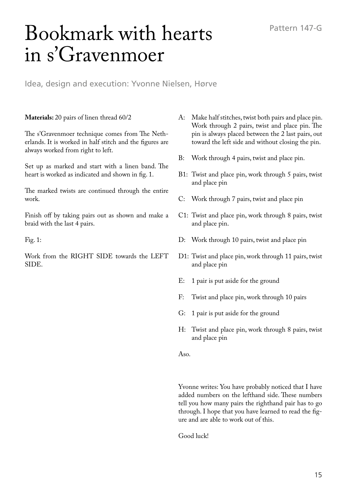## Bookmark with hearts in s'Gravenmoer

Idea, design and execution: Yvonne Nielsen, Hørve

**Materials:** 20 pairs of linen thread 60/2

The s'Gravenmoer technique comes from The Netherlands. It is worked in half stitch and the figures are always worked from right to left.

Set up as marked and start with a linen band. The heart is worked as indicated and shown in fig. 1.

The marked twists are continued through the entire work.

Finish off by taking pairs out as shown and make a braid with the last 4 pairs.

Fig. 1:

Work from the RIGHT SIDE towards the LEFT SIDE.

- A: Make half stitches, twist both pairs and place pin. Work through 2 pairs, twist and place pin. The pin is always placed between the 2 last pairs, out toward the left side and without closing the pin.
- B: Work through 4 pairs, twist and place pin.
- B1: Twist and place pin, work through 5 pairs, twist and place pin
- C: Work through 7 pairs, twist and place pin
- C1: Twist and place pin, work through 8 pairs, twist and place pin.
- D: Work through 10 pairs, twist and place pin
- D1: Twist and place pin, work through 11 pairs, twist and place pin
- E: 1 pair is put aside for the ground
- F: Twist and place pin, work through 10 pairs
- G: 1 pair is put aside for the ground
- H: Twist and place pin, work through 8 pairs, twist and place pin

Aso.

Yvonne writes: You have probably noticed that I have added numbers on the lefthand side. These numbers tell you how many pairs the righthand pair has to go through. I hope that you have learned to read the figure and are able to work out of this.

Good luck!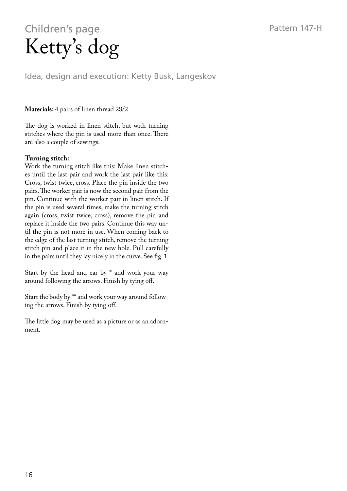### Children's page Ketty's dog

Idea, design and execution: Ketty Busk, Langeskov

#### **Materials:** 4 pairs of linen thread 28/2

The dog is worked in linen stitch, but with turning stitches where the pin is used more than once. There are also a couple of sewings.

#### **Turning stitch:**

Work the turning stitch like this: Make linen stitches until the last pair and work the last pair like this: Cross, twist twice, cross. Place the pin inside the two pairs. The worker pair is now the second pair from the pin. Continue with the worker pair in linen stitch. If the pin is used several times, make the turning stitch again (cross, twist twice, cross), remove the pin and replace it inside the two pairs. Continue this way until the pin is not more in use. When coming back to the edge of the last turning stitch, remove the turning stitch pin and place it in the new hole. Pull carefully in the pairs until they lay nicely in the curve. See fig. 1.

Start by the head and ear by \* and work your way around following the arrows. Finish by tying off.

Start the body by \*\* and work your way around following the arrows. Finish by tying off.

The little dog may be used as a picture or as an adornment.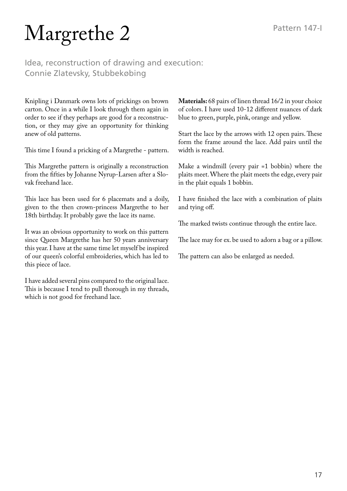# Margrethe 2

Idea, reconstruction of drawing and execution: Connie Zlatevsky, Stubbekøbing

Knipling i Danmark owns lots of prickings on brown carton. Once in a while I look through them again in order to see if they perhaps are good for a reconstruction, or they may give an opportunity for thinking anew of old patterns.

This time I found a pricking of a Margrethe - pattern.

This Margrethe pattern is originally a reconstruction from the fifties by Johanne Nyrup-Larsen after a Slovak freehand lace.

This lace has been used for 6 placemats and a doily, given to the then crown-princess Margrethe to her 18th birthday. It probably gave the lace its name.

It was an obvious opportunity to work on this pattern since Queen Margrethe has her 50 years anniversary this year. I have at the same time let myself be inspired of our queen's colorful embroideries, which has led to this piece of lace.

I have added several pins compared to the original lace. This is because I tend to pull thorough in my threads, which is not good for freehand lace.

**Materials:** 68 pairs of linen thread 16/2 in your choice of colors. I have used 10-12 different nuances of dark blue to green, purple, pink, orange and yellow.

Start the lace by the arrows with 12 open pairs. These form the frame around the lace. Add pairs until the width is reached.

Make a windmill (every pair =1 bobbin) where the plaits meet. Where the plait meets the edge, every pair in the plait equals 1 bobbin.

I have finished the lace with a combination of plaits and tying off.

The marked twists continue through the entire lace.

The lace may for ex. be used to adorn a bag or a pillow.

The pattern can also be enlarged as needed.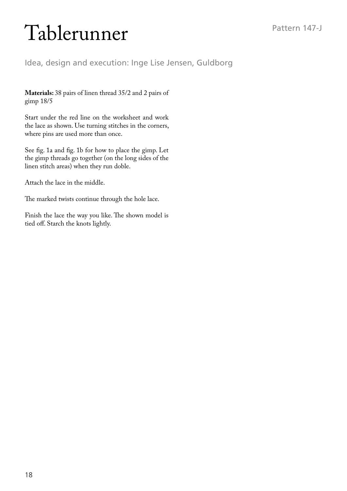# Tablerunner

Idea, design and execution: Inge Lise Jensen, Guldborg

**Materials:** 38 pairs of linen thread 35/2 and 2 pairs of gimp 18/5

Start under the red line on the worksheet and work the lace as shown. Use turning stitches in the corners, where pins are used more than once.

See fig. 1a and fig. 1b for how to place the gimp. Let the gimp threads go together (on the long sides of the linen stitch areas) when they run doble.

Attach the lace in the middle.

The marked twists continue through the hole lace.

Finish the lace the way you like. The shown model is tied off. Starch the knots lightly.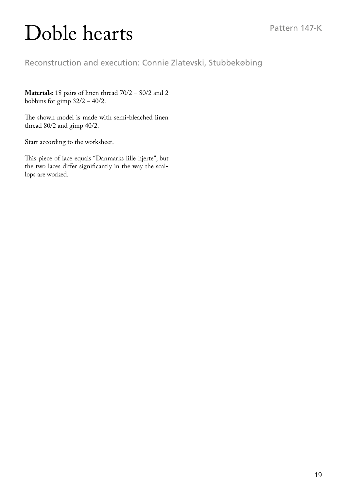# Doble hearts

Reconstruction and execution: Connie Zlatevski, Stubbekøbing

**Materials:** 18 pairs of linen thread 70/2 – 80/2 and 2 bobbins for gimp  $32/2 - 40/2$ .

The shown model is made with semi-bleached linen thread 80/2 and gimp 40/2.

Start according to the worksheet.

This piece of lace equals "Danmarks lille hjerte", but the two laces differ significantly in the way the scallops are worked.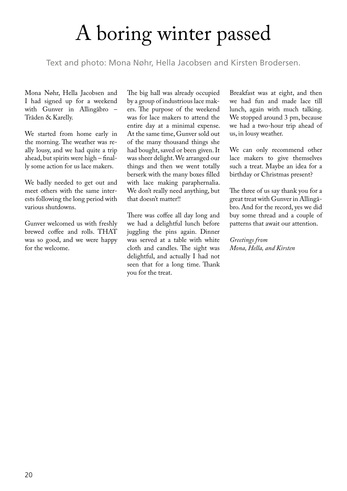# A boring winter passed

Text and photo: Mona Nøhr, Hella Jacobsen and Kirsten Brodersen.

Mona Nøhr, Hella Jacobsen and I had signed up for a weekend with Gunver in Allingåbro – Tråden & Karelly.

We started from home early in the morning. The weather was really lousy, and we had quite a trip ahead, but spirits were high – finally some action for us lace makers.

We badly needed to get out and meet others with the same interests following the long period with various shutdowns.

Gunver welcomed us with freshly brewed coffee and rolls. THAT was so good, and we were happy for the welcome.

The big hall was already occupied by a group of industrious lace makers. The purpose of the weekend was for lace makers to attend the entire day at a minimal expense. At the same time, Gunver sold out of the many thousand things she had bought, saved or been given. It was sheer delight. We arranged our things and then we went totally berserk with the many boxes filled with lace making paraphernalia. We don't really need anything, but that doesn't matter!!

There was coffee all day long and we had a delightful lunch before juggling the pins again. Dinner was served at a table with white cloth and candles. The sight was delightful, and actually I had not seen that for a long time. Thank you for the treat.

Breakfast was at eight, and then we had fun and made lace till lunch, again with much talking. We stopped around 3 pm, because we had a two-hour trip ahead of us, in lousy weather.

We can only recommend other lace makers to give themselves such a treat. Maybe an idea for a birthday or Christmas present?

The three of us say thank you for a great treat with Gunver in Allingåbro. And for the record, yes we did buy some thread and a couple of patterns that await our attention.

*Greetings from Mona, Hella, and Kirsten*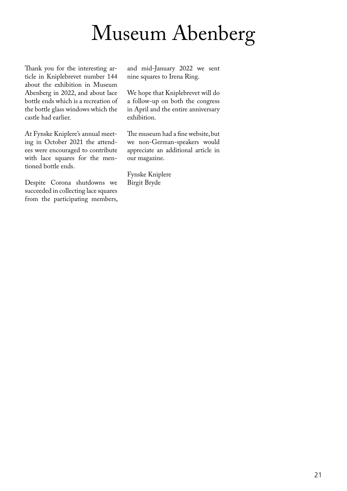# Museum Abenberg

Thank you for the interesting article in Kniplebrevet number 144 about the exhibition in Museum Abenberg in 2022, and about lace bottle ends which is a recreation of the bottle glass windows which the castle had earlier.

At Fynske Kniplere's annual meeting in October 2021 the attendees were encouraged to contribute with lace squares for the mentioned bottle ends.

Despite Corona shutdowns we succeeded in collecting lace squares from the participating members,

and mid-January 2022 we sent nine squares to Irena Ring.

We hope that Kniplebrevet will do a follow-up on both the congress in April and the entire anniversary exhibition.

The museum had a fine website, but we non-German-speakers would appreciate an additional article in our magazine.

Fynske Kniplere Birgit Bryde